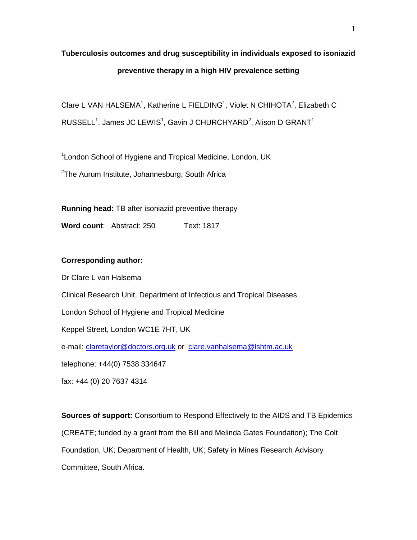# **Tuberculosis outcomes and drug susceptibility in individuals exposed to isoniazid preventive therapy in a high HIV prevalence setting**

Clare L VAN HALSEMA<sup>1</sup>, Katherine L FIELDING<sup>1</sup>, Violet N CHIHOTA<sup>2</sup>, Elizabeth C RUSSELL<sup>1</sup>, James JC LEWIS<sup>1</sup>, Gavin J CHURCHYARD<sup>2</sup>, Alison D GRANT<sup>1</sup>

<sup>1</sup> London School of Hygiene and Tropical Medicine, London, UK

 $2$ The Aurum Institute, Johannesburg, South Africa

**Running head:** TB after isoniazid preventive therapy

**Word count: Abstract: 250 Text: 1817** 

## **Corresponding author:**

Dr Clare L van Halsema Clinical Research Unit, Department of Infectious and Tropical Diseases London School of Hygiene and Tropical Medicine Keppel Street, London WC1E 7HT, UK e-mail: [claretaylor@doctors.org.uk](mailto:claretaylor@doctors.org.uk) or [clare.vanhalsema@lshtm.ac.uk](mailto:clare.vanhalsema@lshtm.ac.uk)  telephone: +44(0) 7538 334647 fax: +44 (0) 20 7637 4314

**Sources of support:** Consortium to Respond Effectively to the AIDS and TB Epidemics (CREATE; funded by a grant from the Bill and Melinda Gates Foundation); The Colt Foundation, UK; Department of Health, UK; Safety in Mines Research Advisory Committee, South Africa.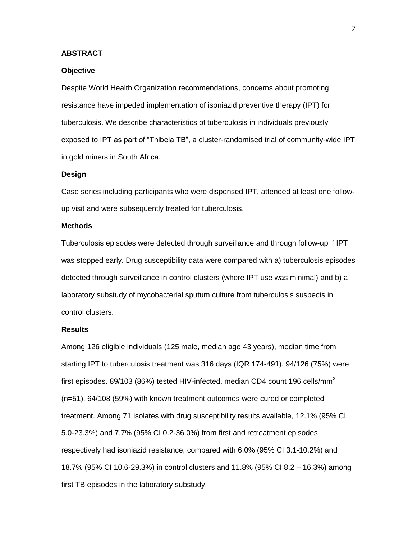## **ABSTRACT**

#### **Objective**

Despite World Health Organization recommendations, concerns about promoting resistance have impeded implementation of isoniazid preventive therapy (IPT) for tuberculosis. We describe characteristics of tuberculosis in individuals previously exposed to IPT as part of "Thibela TB", a cluster-randomised trial of community-wide IPT in gold miners in South Africa.

#### **Design**

Case series including participants who were dispensed IPT, attended at least one followup visit and were subsequently treated for tuberculosis.

#### **Methods**

Tuberculosis episodes were detected through surveillance and through follow-up if IPT was stopped early. Drug susceptibility data were compared with a) tuberculosis episodes detected through surveillance in control clusters (where IPT use was minimal) and b) a laboratory substudy of mycobacterial sputum culture from tuberculosis suspects in control clusters.

#### **Results**

Among 126 eligible individuals (125 male, median age 43 years), median time from starting IPT to tuberculosis treatment was 316 days (IQR 174-491). 94/126 (75%) were first episodes. 89/103 (86%) tested HIV-infected, median CD4 count 196 cells/mm<sup>3</sup> (n=51). 64/108 (59%) with known treatment outcomes were cured or completed treatment. Among 71 isolates with drug susceptibility results available, 12.1% (95% CI 5.0-23.3%) and 7.7% (95% CI 0.2-36.0%) from first and retreatment episodes respectively had isoniazid resistance, compared with 6.0% (95% CI 3.1-10.2%) and 18.7% (95% CI 10.6-29.3%) in control clusters and 11.8% (95% CI 8.2 – 16.3%) among first TB episodes in the laboratory substudy.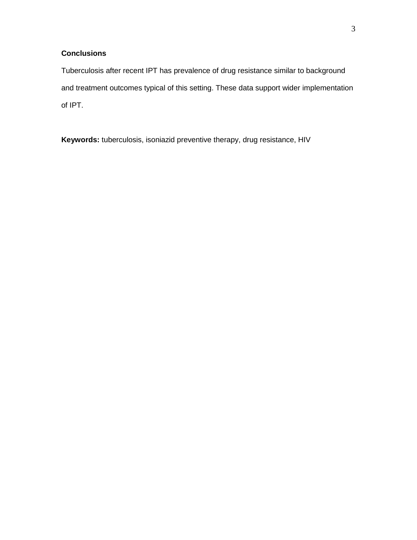# **Conclusions**

Tuberculosis after recent IPT has prevalence of drug resistance similar to background and treatment outcomes typical of this setting. These data support wider implementation of IPT.

**Keywords:** tuberculosis, isoniazid preventive therapy, drug resistance, HIV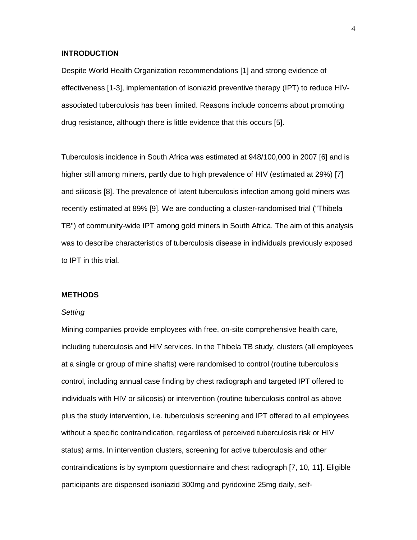## **INTRODUCTION**

Despite World Health Organization recommendations [1] and strong evidence of effectiveness [1-3], implementation of isoniazid preventive therapy (IPT) to reduce HIVassociated tuberculosis has been limited. Reasons include concerns about promoting drug resistance, although there is little evidence that this occurs [5].

Tuberculosis incidence in South Africa was estimated at 948/100,000 in 2007 [6] and is higher still among miners, partly due to high prevalence of HIV (estimated at 29%) [7] and silicosis [8]. The prevalence of latent tuberculosis infection among gold miners was recently estimated at 89% [9]. We are conducting a cluster-randomised trial ("Thibela TB") of community-wide IPT among gold miners in South Africa. The aim of this analysis was to describe characteristics of tuberculosis disease in individuals previously exposed to IPT in this trial.

#### **METHODS**

#### *Setting*

Mining companies provide employees with free, on-site comprehensive health care, including tuberculosis and HIV services. In the Thibela TB study, clusters (all employees at a single or group of mine shafts) were randomised to control (routine tuberculosis control, including annual case finding by chest radiograph and targeted IPT offered to individuals with HIV or silicosis) or intervention (routine tuberculosis control as above plus the study intervention, i.e. tuberculosis screening and IPT offered to all employees without a specific contraindication, regardless of perceived tuberculosis risk or HIV status) arms. In intervention clusters, screening for active tuberculosis and other contraindications is by symptom questionnaire and chest radiograph [7, 10, 11]. Eligible participants are dispensed isoniazid 300mg and pyridoxine 25mg daily, self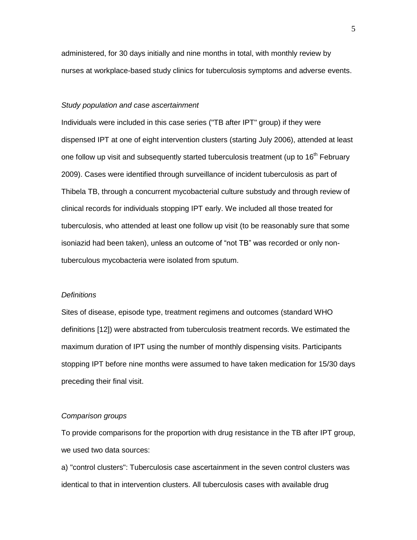administered, for 30 days initially and nine months in total, with monthly review by nurses at workplace-based study clinics for tuberculosis symptoms and adverse events.

## *Study population and case ascertainment*

Individuals were included in this case series ("TB after IPT" group) if they were dispensed IPT at one of eight intervention clusters (starting July 2006), attended at least one follow up visit and subsequently started tuberculosis treatment (up to 16<sup>th</sup> February 2009). Cases were identified through surveillance of incident tuberculosis as part of Thibela TB, through a concurrent mycobacterial culture substudy and through review of clinical records for individuals stopping IPT early. We included all those treated for tuberculosis, who attended at least one follow up visit (to be reasonably sure that some isoniazid had been taken), unless an outcome of "not TB" was recorded or only nontuberculous mycobacteria were isolated from sputum.

#### *Definitions*

Sites of disease, episode type, treatment regimens and outcomes (standard WHO definitions [12]) were abstracted from tuberculosis treatment records. We estimated the maximum duration of IPT using the number of monthly dispensing visits. Participants stopping IPT before nine months were assumed to have taken medication for 15/30 days preceding their final visit.

#### *Comparison groups*

To provide comparisons for the proportion with drug resistance in the TB after IPT group, we used two data sources:

a) "control clusters": Tuberculosis case ascertainment in the seven control clusters was identical to that in intervention clusters. All tuberculosis cases with available drug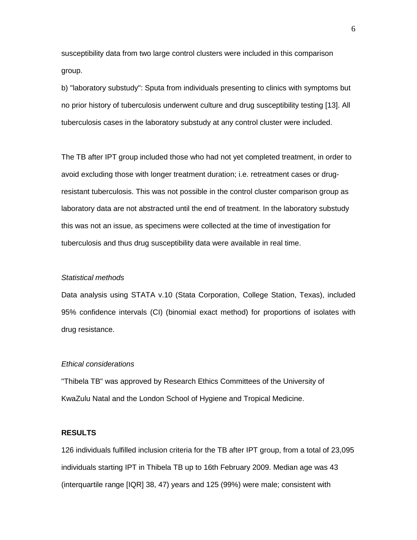susceptibility data from two large control clusters were included in this comparison group.

b) "laboratory substudy": Sputa from individuals presenting to clinics with symptoms but no prior history of tuberculosis underwent culture and drug susceptibility testing [13]. All tuberculosis cases in the laboratory substudy at any control cluster were included.

The TB after IPT group included those who had not yet completed treatment, in order to avoid excluding those with longer treatment duration; i.e. retreatment cases or drugresistant tuberculosis. This was not possible in the control cluster comparison group as laboratory data are not abstracted until the end of treatment. In the laboratory substudy this was not an issue, as specimens were collected at the time of investigation for tuberculosis and thus drug susceptibility data were available in real time.

#### *Statistical methods*

Data analysis using STATA v.10 (Stata Corporation, College Station, Texas), included 95% confidence intervals (CI) (binomial exact method) for proportions of isolates with drug resistance.

## *Ethical considerations*

"Thibela TB" was approved by Research Ethics Committees of the University of KwaZulu Natal and the London School of Hygiene and Tropical Medicine.

## **RESULTS**

126 individuals fulfilled inclusion criteria for the TB after IPT group, from a total of 23,095 individuals starting IPT in Thibela TB up to 16th February 2009. Median age was 43 (interquartile range [IQR] 38, 47) years and 125 (99%) were male; consistent with

6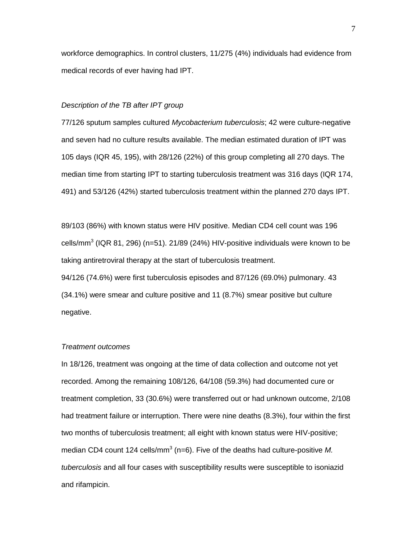workforce demographics. In control clusters, 11/275 (4%) individuals had evidence from medical records of ever having had IPT.

## *Description of the TB after IPT group*

77/126 sputum samples cultured *Mycobacterium tuberculosis*; 42 were culture-negative and seven had no culture results available. The median estimated duration of IPT was 105 days (IQR 45, 195), with 28/126 (22%) of this group completing all 270 days. The median time from starting IPT to starting tuberculosis treatment was 316 days (IQR 174, 491) and 53/126 (42%) started tuberculosis treatment within the planned 270 days IPT.

89/103 (86%) with known status were HIV positive. Median CD4 cell count was 196 cells/mm<sup>3</sup> (IQR 81, 296) (n=51). 21/89 (24%) HIV-positive individuals were known to be taking antiretroviral therapy at the start of tuberculosis treatment. 94/126 (74.6%) were first tuberculosis episodes and 87/126 (69.0%) pulmonary. 43 (34.1%) were smear and culture positive and 11 (8.7%) smear positive but culture negative.

#### *Treatment outcomes*

In 18/126, treatment was ongoing at the time of data collection and outcome not yet recorded. Among the remaining 108/126, 64/108 (59.3%) had documented cure or treatment completion, 33 (30.6%) were transferred out or had unknown outcome, 2/108 had treatment failure or interruption. There were nine deaths (8.3%), four within the first two months of tuberculosis treatment; all eight with known status were HIV-positive; median CD4 count 124 cells/mm<sup>3</sup> (n=6). Five of the deaths had culture-positive M. *tuberculosis* and all four cases with susceptibility results were susceptible to isoniazid and rifampicin.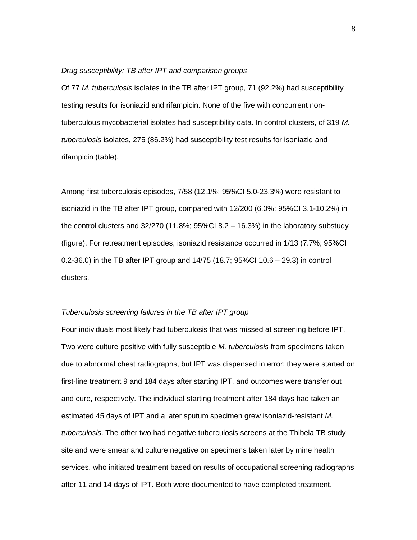#### *Drug susceptibility: TB after IPT and comparison groups*

Of 77 *M. tuberculosis* isolates in the TB after IPT group, 71 (92.2%) had susceptibility testing results for isoniazid and rifampicin. None of the five with concurrent nontuberculous mycobacterial isolates had susceptibility data. In control clusters, of 319 *M. tuberculosis* isolates, 275 (86.2%) had susceptibility test results for isoniazid and rifampicin (table).

Among first tuberculosis episodes, 7/58 (12.1%; 95%CI 5.0-23.3%) were resistant to isoniazid in the TB after IPT group, compared with 12/200 (6.0%; 95%CI 3.1-10.2%) in the control clusters and  $32/270$  (11.8%; 95%Cl 8.2 – 16.3%) in the laboratory substudy (figure). For retreatment episodes, isoniazid resistance occurred in 1/13 (7.7%; 95%CI 0.2-36.0) in the TB after IPT group and 14/75 (18.7; 95%CI 10.6 – 29.3) in control clusters.

## *Tuberculosis screening failures in the TB after IPT group*

Four individuals most likely had tuberculosis that was missed at screening before IPT. Two were culture positive with fully susceptible *M. tuberculosis* from specimens taken due to abnormal chest radiographs, but IPT was dispensed in error: they were started on first-line treatment 9 and 184 days after starting IPT, and outcomes were transfer out and cure, respectively. The individual starting treatment after 184 days had taken an estimated 45 days of IPT and a later sputum specimen grew isoniazid-resistant *M. tuberculosis*. The other two had negative tuberculosis screens at the Thibela TB study site and were smear and culture negative on specimens taken later by mine health services, who initiated treatment based on results of occupational screening radiographs after 11 and 14 days of IPT. Both were documented to have completed treatment.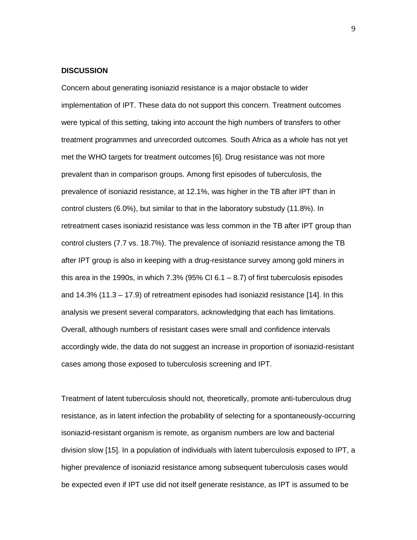## **DISCUSSION**

Concern about generating isoniazid resistance is a major obstacle to wider implementation of IPT. These data do not support this concern. Treatment outcomes were typical of this setting, taking into account the high numbers of transfers to other treatment programmes and unrecorded outcomes. South Africa as a whole has not yet met the WHO targets for treatment outcomes [6]. Drug resistance was not more prevalent than in comparison groups. Among first episodes of tuberculosis, the prevalence of isoniazid resistance, at 12.1%, was higher in the TB after IPT than in control clusters (6.0%), but similar to that in the laboratory substudy (11.8%). In retreatment cases isoniazid resistance was less common in the TB after IPT group than control clusters (7.7 vs. 18.7%). The prevalence of isoniazid resistance among the TB after IPT group is also in keeping with a drug-resistance survey among gold miners in this area in the 1990s, in which  $7.3\%$  (95% CI 6.1 – 8.7) of first tuberculosis episodes and 14.3% (11.3 – 17.9) of retreatment episodes had isoniazid resistance [14]. In this analysis we present several comparators, acknowledging that each has limitations. Overall, although numbers of resistant cases were small and confidence intervals accordingly wide, the data do not suggest an increase in proportion of isoniazid-resistant cases among those exposed to tuberculosis screening and IPT.

Treatment of latent tuberculosis should not, theoretically, promote anti-tuberculous drug resistance, as in latent infection the probability of selecting for a spontaneously-occurring isoniazid-resistant organism is remote, as organism numbers are low and bacterial division slow [15]. In a population of individuals with latent tuberculosis exposed to IPT, a higher prevalence of isoniazid resistance among subsequent tuberculosis cases would be expected even if IPT use did not itself generate resistance, as IPT is assumed to be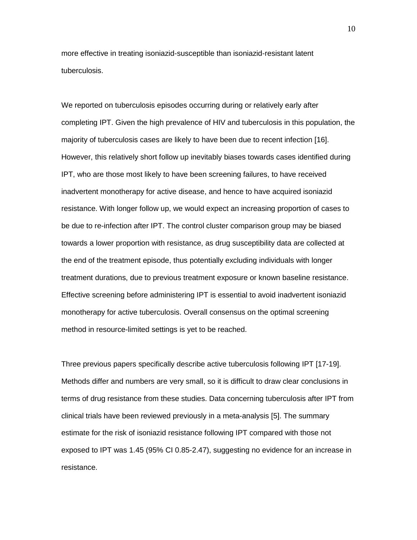more effective in treating isoniazid-susceptible than isoniazid-resistant latent tuberculosis.

We reported on tuberculosis episodes occurring during or relatively early after completing IPT. Given the high prevalence of HIV and tuberculosis in this population, the majority of tuberculosis cases are likely to have been due to recent infection [16]. However, this relatively short follow up inevitably biases towards cases identified during IPT, who are those most likely to have been screening failures, to have received inadvertent monotherapy for active disease, and hence to have acquired isoniazid resistance. With longer follow up, we would expect an increasing proportion of cases to be due to re-infection after IPT. The control cluster comparison group may be biased towards a lower proportion with resistance, as drug susceptibility data are collected at the end of the treatment episode, thus potentially excluding individuals with longer treatment durations, due to previous treatment exposure or known baseline resistance. Effective screening before administering IPT is essential to avoid inadvertent isoniazid monotherapy for active tuberculosis. Overall consensus on the optimal screening method in resource-limited settings is yet to be reached.

Three previous papers specifically describe active tuberculosis following IPT [17-19]. Methods differ and numbers are very small, so it is difficult to draw clear conclusions in terms of drug resistance from these studies. Data concerning tuberculosis after IPT from clinical trials have been reviewed previously in a meta-analysis [5]. The summary estimate for the risk of isoniazid resistance following IPT compared with those not exposed to IPT was 1.45 (95% CI 0.85-2.47), suggesting no evidence for an increase in resistance.

10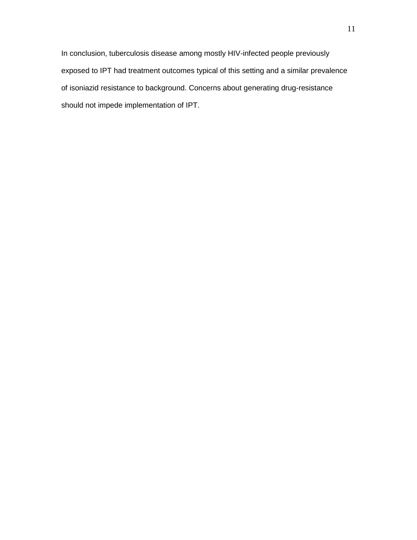In conclusion, tuberculosis disease among mostly HIV-infected people previously exposed to IPT had treatment outcomes typical of this setting and a similar prevalence of isoniazid resistance to background. Concerns about generating drug-resistance should not impede implementation of IPT.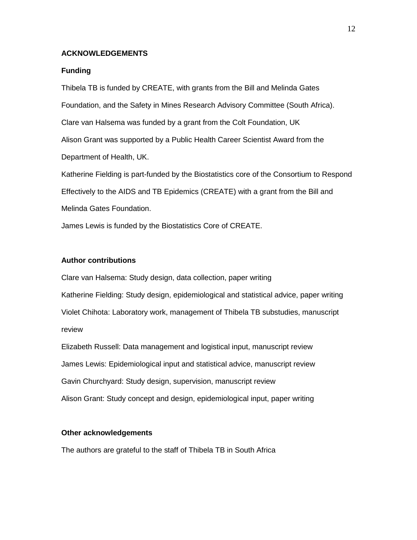## **ACKNOWLEDGEMENTS**

#### **Funding**

Thibela TB is funded by CREATE, with grants from the Bill and Melinda Gates Foundation, and the Safety in Mines Research Advisory Committee (South Africa). Clare van Halsema was funded by a grant from the Colt Foundation, UK Alison Grant was supported by a Public Health Career Scientist Award from the Department of Health, UK.

Katherine Fielding is part-funded by the Biostatistics core of the Consortium to Respond Effectively to the AIDS and TB Epidemics (CREATE) with a grant from the Bill and Melinda Gates Foundation.

James Lewis is funded by the Biostatistics Core of CREATE.

## **Author contributions**

Clare van Halsema: Study design, data collection, paper writing Katherine Fielding: Study design, epidemiological and statistical advice, paper writing Violet Chihota: Laboratory work, management of Thibela TB substudies, manuscript review

Elizabeth Russell: Data management and logistical input, manuscript review James Lewis: Epidemiological input and statistical advice, manuscript review Gavin Churchyard: Study design, supervision, manuscript review Alison Grant: Study concept and design, epidemiological input, paper writing

## **Other acknowledgements**

The authors are grateful to the staff of Thibela TB in South Africa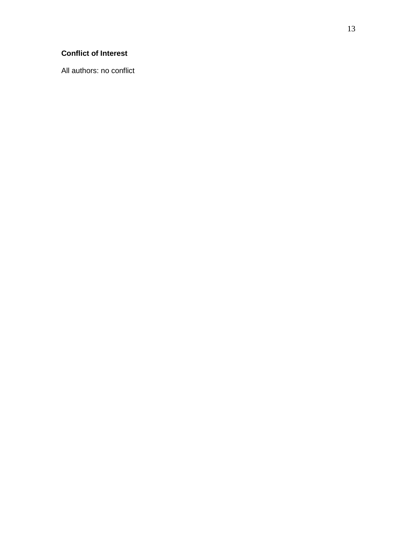# **Conflict of Interest**

All authors: no conflict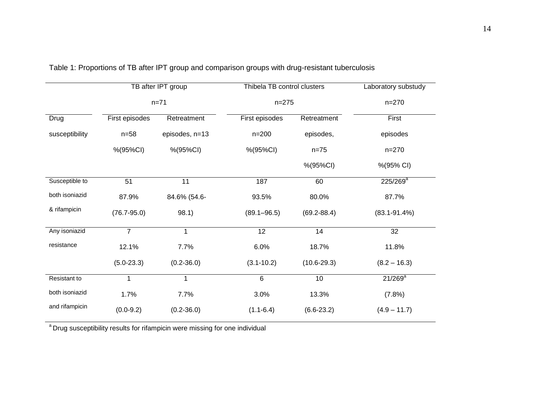|                | TB after IPT group<br>$n = 71$ |                | Thibela TB control clusters<br>$n = 275$ |                 | Laboratory substudy |
|----------------|--------------------------------|----------------|------------------------------------------|-----------------|---------------------|
|                |                                |                |                                          |                 | $n = 270$           |
| Drug           | First episodes                 | Retreatment    | First episodes                           | Retreatment     | First               |
| susceptibility | $n = 58$                       | episodes, n=13 | $n = 200$                                | episodes,       | episodes            |
|                | %(95%CI)                       | %(95%CI)       | %(95%CI)                                 | $n = 75$        | $n = 270$           |
|                |                                |                |                                          | %(95%CI)        | %(95% CI)           |
| Susceptible to | 51                             | 11             | 187                                      | 60              | $225/269^a$         |
| both isoniazid | 87.9%                          | 84.6% (54.6-   | 93.5%                                    | 80.0%           | 87.7%               |
| & rifampicin   | $(76.7 - 95.0)$                | 98.1)          | $(89.1 - 96.5)$                          | $(69.2 - 88.4)$ | $(83.1 - 91.4\%)$   |
| Any isoniazid  | $\overline{7}$                 | 1              | 12                                       | 14              | 32                  |
| resistance     | 12.1%                          | 7.7%           | 6.0%                                     | 18.7%           | 11.8%               |
|                | $(5.0-23.3)$                   | $(0.2 - 36.0)$ | $(3.1 - 10.2)$                           | $(10.6 - 29.3)$ | $(8.2 - 16.3)$      |
| Resistant to   | $\mathbf 1$                    | 1              | 6                                        | 10              | $21/269^a$          |
| both isoniazid | 1.7%                           | 7.7%           | 3.0%                                     | 13.3%           | (7.8%)              |
| and rifampicin | $(0.0 - 9.2)$                  | $(0.2 - 36.0)$ | $(1.1 - 6.4)$                            | $(6.6-23.2)$    | $(4.9 - 11.7)$      |

Table 1: Proportions of TB after IPT group and comparison groups with drug-resistant tuberculosis

<sup>a</sup> Drug susceptibility results for rifampicin were missing for one individual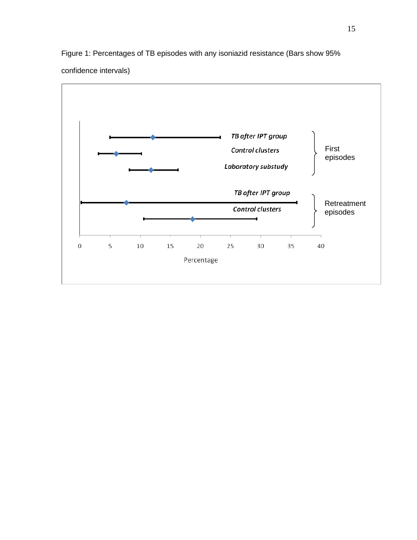Figure 1: Percentages of TB episodes with any isoniazid resistance (Bars show 95%



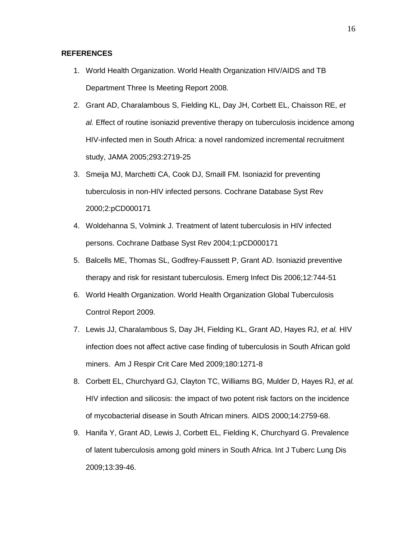## **REFERENCES**

- 1. World Health Organization. World Health Organization HIV/AIDS and TB Department Three Is Meeting Report 2008.
- 2. Grant AD, Charalambous S, Fielding KL, Day JH, Corbett EL, Chaisson RE, *et al.* Effect of routine isoniazid preventive therapy on tuberculosis incidence among HIV-infected men in South Africa: a novel randomized incremental recruitment study, JAMA 2005;293:2719-25
- 3. Smeija MJ, Marchetti CA, Cook DJ, Smaill FM. Isoniazid for preventing tuberculosis in non-HIV infected persons. Cochrane Database Syst Rev 2000;2:pCD000171
- 4. Woldehanna S, Volmink J. Treatment of latent tuberculosis in HIV infected persons. Cochrane Datbase Syst Rev 2004;1:pCD000171
- 5. Balcells ME, Thomas SL, Godfrey-Faussett P, Grant AD. Isoniazid preventive therapy and risk for resistant tuberculosis. Emerg Infect Dis 2006;12:744-51
- 6. World Health Organization. World Health Organization Global Tuberculosis Control Report 2009.
- 7. Lewis JJ, Charalambous S, Day JH, Fielding KL, Grant AD, Hayes RJ, *et al.* HIV infection does not affect active case finding of tuberculosis in South African gold miners. Am J Respir Crit Care Med 2009;180:1271-8
- 8. Corbett EL, Churchyard GJ, Clayton TC, Williams BG, Mulder D, Hayes RJ, *et al.* HIV infection and silicosis: the impact of two potent risk factors on the incidence of mycobacterial disease in South African miners. AIDS 2000;14:2759-68.
- 9. Hanifa Y, Grant AD, Lewis J, Corbett EL, Fielding K, Churchyard G. Prevalence of latent tuberculosis among gold miners in South Africa. Int J Tuberc Lung Dis 2009;13:39-46.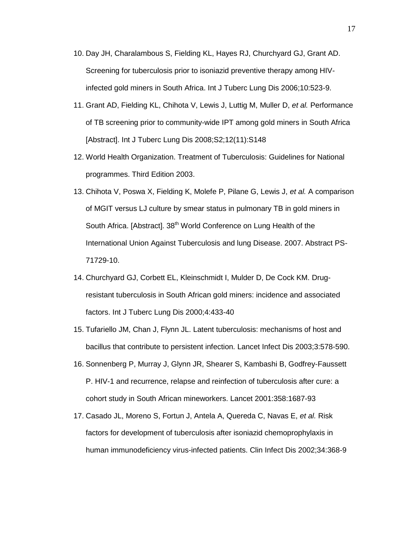- 10. Day JH, Charalambous S, Fielding KL, Hayes RJ, Churchyard GJ, Grant AD. Screening for tuberculosis prior to isoniazid preventive therapy among HIVinfected gold miners in South Africa. Int J Tuberc Lung Dis 2006;10:523-9.
- 11. Grant AD, Fielding KL, Chihota V, Lewis J, Luttig M, Muller D, *et al.* Performance of TB screening prior to community-wide IPT among gold miners in South Africa [Abstract]. Int J Tuberc Lung Dis 2008;S2;12(11):S148
- 12. World Health Organization. Treatment of Tuberculosis: Guidelines for National programmes. Third Edition 2003.
- 13. Chihota V, Poswa X, Fielding K, Molefe P, Pilane G, Lewis J, *et al.* A comparison of MGIT versus LJ culture by smear status in pulmonary TB in gold miners in South Africa. [Abstract]. 38<sup>th</sup> World Conference on Lung Health of the International Union Against Tuberculosis and lung Disease. 2007. Abstract PS-71729-10.
- 14. Churchyard GJ, Corbett EL, Kleinschmidt I, Mulder D, De Cock KM. Drugresistant tuberculosis in South African gold miners: incidence and associated factors. Int J Tuberc Lung Dis 2000;4:433-40
- 15. Tufariello JM, Chan J, Flynn JL. Latent tuberculosis: mechanisms of host and bacillus that contribute to persistent infection. Lancet Infect Dis 2003;3:578-590.
- 16. Sonnenberg P, Murray J, Glynn JR, Shearer S, Kambashi B, Godfrey-Faussett P. HIV-1 and recurrence, relapse and reinfection of tuberculosis after cure: a cohort study in South African mineworkers. Lancet 2001:358:1687-93
- 17. Casado JL, Moreno S, Fortun J, Antela A, Quereda C, Navas E, *et al.* Risk factors for development of tuberculosis after isoniazid chemoprophylaxis in human immunodeficiency virus-infected patients. Clin Infect Dis 2002;34:368-9